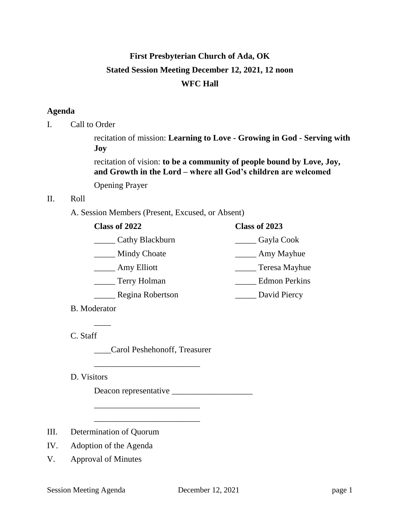# **First Presbyterian Church of Ada, OK Stated Session Meeting December 12, 2021, 12 noon WFC Hall**

# **Agenda**

I. Call to Order

recitation of mission: **Learning to Love - Growing in God - Serving with Joy**

recitation of vision: **to be a community of people bound by Love, Joy, and Growth in the Lord – where all God's children are welcomed**

Opening Prayer

## II. Roll

A. Session Members (Present, Excused, or Absent)

| Class of 2023        |
|----------------------|
| Gayla Cook           |
| Amy Mayhue           |
| Teresa Mayhue        |
| <b>Edmon Perkins</b> |
| David Piercy         |
|                      |

B. Moderator

 $\overline{\phantom{a}}$ 

C. Staff

\_\_\_\_Carol Peshehonoff, Treasurer

\_\_\_\_\_\_\_\_\_\_\_\_\_\_\_\_\_\_\_\_\_\_\_\_\_

\_\_\_\_\_\_\_\_\_\_\_\_\_\_\_\_\_\_\_\_\_\_\_\_\_

\_\_\_\_\_\_\_\_\_\_\_\_\_\_\_\_\_\_\_\_\_\_\_\_\_

D. Visitors

Deacon representative \_\_\_\_\_\_\_\_\_\_\_\_\_\_\_\_\_\_\_

- III. Determination of Quorum
- IV. Adoption of the Agenda
- V. Approval of Minutes

Session Meeting Agenda December 12, 2021 page 1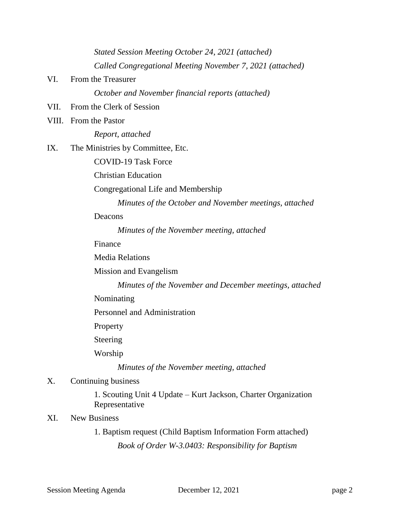*Stated Session Meeting October 24, 2021 (attached) Called Congregational Meeting November 7, 2021 (attached)*

VI. From the Treasurer

*October and November financial reports (attached)*

- VII. From the Clerk of Session
- VIII. From the Pastor

*Report, attached*

IX. The Ministries by Committee, Etc.

COVID-19 Task Force

Christian Education

Congregational Life and Membership

*Minutes of the October and November meetings, attached*

Deacons

*Minutes of the November meeting, attached*

Finance

Media Relations

Mission and Evangelism

*Minutes of the November and December meetings, attached*

Nominating

Personnel and Administration

Property

Steering

Worship

*Minutes of the November meeting, attached*

# X. Continuing business

1. Scouting Unit 4 Update – Kurt Jackson, Charter Organization Representative

# XI. New Business

1. Baptism request (Child Baptism Information Form attached) *Book of Order W-3.0403: Responsibility for Baptism*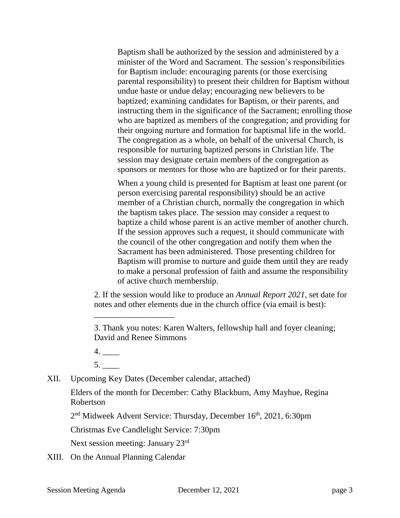Baptism shall be authorized by the session and administered by a minister of the Word and Sacrament. The session's responsibilities for Baptism include: encouraging parents (or those exercising parental responsibility) to present their children for Baptism without undue haste or undue delay; encouraging new believers to be baptized; examining candidates for Baptism, or their parents, and instructing them in the significance of the Sacrament; enrolling those who are baptized as members of the congregation; and providing for their ongoing nurture and formation for baptismal life in the world. The congregation as a whole, on behalf of the universal Church, is responsible for nurturing baptized persons in Christian life. The session may designate certain members of the congregation as sponsors or mentors for those who are baptized or for their parents.

When a young child is presented for Baptism at least one parent (or person exercising parental responsibility) should be an active member of a Christian church, normally the congregation in which the baptism takes place. The session may consider a request to baptize a child whose parent is an active member of another church. If the session approves such a request, it should communicate with the council of the other congregation and notify them when the Sacrament has been administered. Those presenting children for Baptism will promise to nurture and guide them until they are ready to make a personal profession of faith and assume the responsibility of active church membership.

2. If the session would like to produce an *Annual Report 2021*, set date for notes and other elements due in the church office (via email is best):

 $5.$ 

XII. Upcoming Key Dates (December calendar, attached)

\_\_\_\_\_\_\_\_\_\_\_\_\_\_\_\_\_\_\_

Elders of the month for December: Cathy Blackburn, Amy Mayhue, Regina Robertson

2<sup>nd</sup> Midweek Advent Service: Thursday, December 16<sup>th</sup>, 2021, 6:30pm

Christmas Eve Candlelight Service: 7:30pm

Next session meeting: January 23rd

XIII. On the Annual Planning Calendar

<sup>3.</sup> Thank you notes: Karen Walters, fellowship hall and foyer cleaning; David and Renee Simmons

<sup>4.</sup> \_\_\_\_